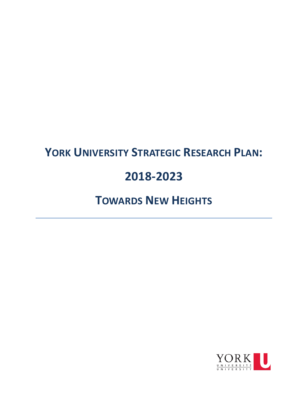# **YORK UNIVERSITY STRATEGIC RESEARCH PLAN:**

## **2018-2023**

## **TOWARDS NEW HEIGHTS**

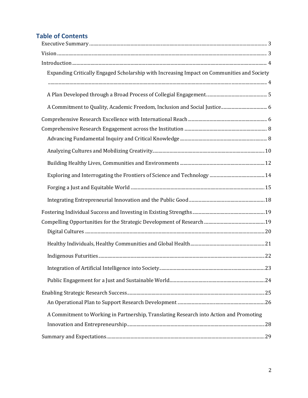## **Table of Contents**

<span id="page-1-0"></span>

| Expanding Critically Engaged Scholarship with Increasing Impact on Communities and Society |  |
|--------------------------------------------------------------------------------------------|--|
|                                                                                            |  |
|                                                                                            |  |
|                                                                                            |  |
|                                                                                            |  |
|                                                                                            |  |
|                                                                                            |  |
|                                                                                            |  |
|                                                                                            |  |
|                                                                                            |  |
|                                                                                            |  |
|                                                                                            |  |
|                                                                                            |  |
|                                                                                            |  |
|                                                                                            |  |
|                                                                                            |  |
|                                                                                            |  |
|                                                                                            |  |
|                                                                                            |  |
|                                                                                            |  |
|                                                                                            |  |
| A Commitment to Working in Partnership, Translating Research into Action and Promoting     |  |
|                                                                                            |  |
|                                                                                            |  |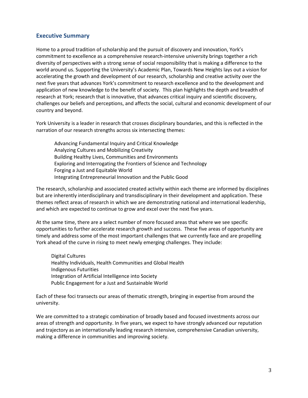## **Executive Summary**

Home to a proud tradition of scholarship and the pursuit of discovery and innovation, York's commitment to excellence as a comprehensive research-intensive university brings together a rich diversity of perspectives with a strong sense of social responsibility that is making a difference to the world around us. Supporting the University's Academic Plan, Towards New Heights lays out a vision for accelerating the growth and development of our research, scholarship and creative activity over the next five years that advances York's commitment to research excellence and to the development and application of new knowledge to the benefit of society. This plan highlights the depth and breadth of research at York; research that is innovative, that advances critical inquiry and scientific discovery, challenges our beliefs and perceptions, and affects the social, cultural and economic development of our country and beyond.

York University is a leader in research that crosses disciplinary boundaries, and this is reflected in the narration of our research strengths across six intersecting themes:

Advancing Fundamental Inquiry and Critical Knowledge Analyzing Cultures and Mobilizing Creativity Building Healthy Lives, Communities and Environments Exploring and Interrogating the Frontiers of Science and Technology Forging a Just and Equitable World Integrating Entrepreneurial Innovation and the Public Good

The research, scholarship and associated created activity within each theme are informed by disciplines but are inherently interdisciplinary and transdisciplinary in their development and application. These themes reflect areas of research in which we are demonstrating national and international leadership, and which are expected to continue to grow and excel over the next five years.

At the same time, there are a select number of more focused areas that where we see specific opportunities to further accelerate research growth and success. These five areas of opportunity are timely and address some of the most important challenges that we currently face and are propelling York ahead of the curve in rising to meet newly emerging challenges. They include:

Digital Cultures Healthy Individuals, Health Communities and Global Health Indigenous Futurities Integration of Artificial Intelligence into Society Public Engagement for a Just and Sustainable World

Each of these foci transects our areas of thematic strength, bringing in expertise from around the university.

<span id="page-2-0"></span>We are committed to a strategic combination of broadly based and focused investments across our areas of strength and opportunity. In five years, we expect to have strongly advanced our reputation and trajectory as an internationally leading research intensive, comprehensive Canadian university, making a difference in communities and improving society.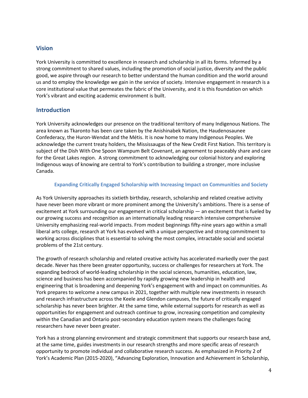## **Vision**

York University is committed to excellence in research and scholarship in all its forms. Informed by a strong commitment to shared values, including the promotion of social justice, diversity and the public good, we aspire through our research to better understand the human condition and the world around us and to employ the knowledge we gain in the service of society. Intensive engagement in research is a core institutional value that permeates the fabric of the University, and it is this foundation on which York's vibrant and exciting academic environment is built.

## <span id="page-3-0"></span>**Introduction**

York University acknowledges our presence on the traditional territory of many Indigenous Nations. The area known as Tkaronto has been care taken by the Anishinabek Nation, the Haudenosaunee Confederacy, the Huron-Wendat and the Métis. It is now home to many Indigenous Peoples. We acknowledge the current treaty holders, the Mississaugas of the New Credit First Nation. This territory is subject of the Dish With One Spoon Wampum Belt Covenant, an agreement to peaceably share and care for the Great Lakes region. A strong commitment to acknowledging our colonial history and exploring Indigenous ways of knowing are central to York's contribution to building a stronger, more inclusive Canada.

#### <span id="page-3-1"></span>**Expanding Critically Engaged Scholarship with Increasing Impact on Communities and Society**

As York University approaches its sixtieth birthday, research, scholarship and related creative activity have never been more vibrant or more prominent among the University's ambitions. There is a sense of excitement at York surrounding our engagement in critical scholarship — an excitement that is fueled by our growing success and recognition as an internationally leading research intensive comprehensive University emphasizing real-world impacts. From modest beginnings fifty-nine years ago within a small liberal arts college, research at York has evolved with a unique perspective and strong commitment to working across disciplines that is essential to solving the most complex, intractable social and societal problems of the 21st century.

The growth of research scholarship and related creative activity has accelerated markedly over the past decade. Never has there been greater opportunity, success or challenges for researchers at York. The expanding bedrock of world-leading scholarship in the social sciences, humanities, education, law, science and business has been accompanied by rapidly growing new leadership in health and engineering that is broadening and deepening York's engagement with and impact on communities. As York prepares to welcome a new campus in 2021, together with multiple new investments in research and research infrastructure across the Keele and Glendon campuses, the future of critically engaged scholarship has never been brighter. At the same time, while external supports for research as well as opportunities for engagement and outreach continue to grow, increasing competition and complexity within the Canadian and Ontario post-secondary education system means the challenges facing researchers have never been greater.

York has a strong planning environment and strategic commitment that supports our research base and, at the same time, guides investments in our research strengths and more specific areas of research opportunity to promote individual and collaborative research success. As emphasized in Priority 2 of York's Academic Plan (2015-2020), "Advancing Exploration, Innovation and Achievement in Scholarship,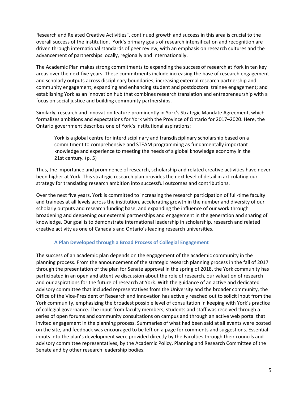Research and Related Creative Activities", continued growth and success in this area is crucial to the overall success of the institution. York's primary goals of research intensification and recognition are driven through international standards of peer review, with an emphasis on research cultures and the advancement of partnerships locally, regionally and internationally.

The Academic Plan makes strong commitments to expanding the success of research at York in ten key areas over the next five years. These commitments include increasing the base of research engagement and scholarly outputs across disciplinary boundaries; increasing external research partnership and community engagement; expanding and enhancing student and postdoctoral trainee engagement; and establishing York as an innovation hub that combines research translation and entrepreneurship with a focus on social justice and building community partnerships.

Similarly, research and innovation feature prominently in York's Strategic Mandate Agreement, which formalizes ambitions and expectations for York with the Province of Ontario for 2017–2020. Here, the Ontario government describes one of York's institutional aspirations:

York is a global centre for interdisciplinary and transdisciplinary scholarship based on a commitment to comprehensive and STEAM programming as fundamentally important knowledge and experience to meeting the needs of a global knowledge economy in the 21st centur*y.* (p. 5)

Thus, the importance and prominence of research, scholarship and related creative activities have never been higher at York. This strategic research plan provides the next level of detail in articulating our strategy for translating research ambition into successful outcomes and contributions.

Over the next five years, York is committed to increasing the research participation of full-time faculty and trainees at all levels across the institution, accelerating growth in the number and diversity of our scholarly outputs and research funding base, and expanding the influence of our work through broadening and deepening our external partnerships and engagement in the generation and sharing of knowledge. Our goal is to demonstrate international leadership in scholarship, research and related creative activity as one of Canada's and Ontario's leading research universities.

#### <span id="page-4-0"></span>**A Plan Developed through a Broad Process of Collegial Engagement**

The success of an academic plan depends on the engagement of the academic community in the planning process. From the announcement of the strategic research planning process in the fall of 2017 through the presentation of the plan for Senate approval in the spring of 2018, the York community has participated in an open and attentive discussion about the role of research, our valuation of research and our aspirations for the future of research at York. With the guidance of an active and dedicated advisory committee that included representatives from the University and the broader community, the Office of the Vice-President of Research and Innovation has actively reached out to solicit input from the York community, emphasizing the broadest possible level of consultation in keeping with York's practice of collegial governance. The input from faculty members, students and staff was received through a series of open forums and community consultations on campus and through an active web portal that invited engagement in the planning process. Summaries of what had been said at all events were posted on the site, and feedback was encouraged to be left on a page for comments and suggestions. Essential inputs into the plan's development were provided directly by the Faculties through their councils and advisory committee representatives, by the Academic Policy, Planning and Research Committee of the Senate and by other research leadership bodies.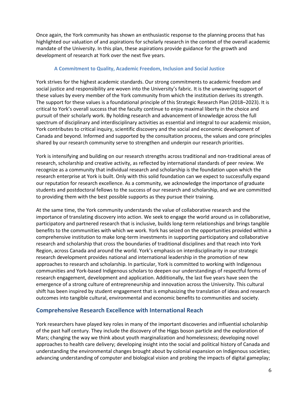Once again, the York community has shown an enthusiastic response to the planning process that has highlighted our valuation of and aspirations for scholarly research in the context of the overall academic mandate of the University. In this plan, these aspirations provide guidance for the growth and development of research at York over the next five years.

#### <span id="page-5-0"></span>**A Commitment to Quality, Academic Freedom, Inclusion and Social Justice**

York strives for the highest academic standards. Our strong commitments to academic freedom and social justice and responsibility are woven into the University's fabric. It is the unwavering support of these values by every member of the York community from which the institution derives its strength. The support for these values is a foundational principle of this Strategic Research Plan (2018–2023). It is critical to York's overall success that the faculty continue to enjoy maximal liberty in the choice and pursuit of their scholarly work. By holding research and advancement of knowledge across the full spectrum of disciplinary and interdisciplinary activities as essential and integral to our academic mission, York contributes to critical inquiry, scientific discovery and the social and economic development of Canada and beyond. Informed and supported by the consultation process, the values and core principles shared by our research community serve to strengthen and underpin our research priorities.

York is intensifying and building on our research strengths across traditional and non-traditional areas of research, scholarship and creative activity, as reflected by international standards of peer review. We recognize as a community that individual research and scholarship is the foundation upon which the research enterprise at York is built. Only with this solid foundation can we expect to successfully expand our reputation for research excellence. As a community, we acknowledge the importance of graduate students and postdoctoral fellows to the success of our research and scholarship, and we are committed to providing them with the best possible supports as they pursue their training.

At the same time, the York community understands the value of collaborative research and the importance of translating discovery into action. We seek to engage the world around us in collaborative, participatory and partnered research that is inclusive, builds long-term relationships and brings tangible benefits to the communities with which we work. York has seized on the opportunities provided within a comprehensive institution to make long-term investments in supporting participatory and collaborative research and scholarship that cross the boundaries of traditional disciplines and that reach into York Region, across Canada and around the world. York's emphasis on interdisciplinarity in our strategic research development provides national and international leadership in the promotion of new approaches to research and scholarship. In particular, York is committed to working with Indigenous communities and York-based Indigenous scholars to deepen our understandings of respectful forms of research engagement, development and application. Additionally, the last five years have seen the emergence of a strong culture of entrepreneurship and innovation across the University. This cultural shift has been inspired by student engagement that is emphasizing the translation of ideas and research outcomes into tangible cultural, environmental and economic benefits to communities and society.

## <span id="page-5-1"></span>**Comprehensive Research Excellence with International Reach**

York researchers have played key roles in many of the important discoveries and influential scholarship of the past half century. They include the discovery of the Higgs boson particle and the exploration of Mars; changing the way we think about youth marginalization and homelessness; developing novel approaches to health care delivery; developing insight into the social and political history of Canada and understanding the environmental changes brought about by colonial expansion on Indigenous societies; advancing understanding of computer and biological vision and probing the impacts of digital gameplay;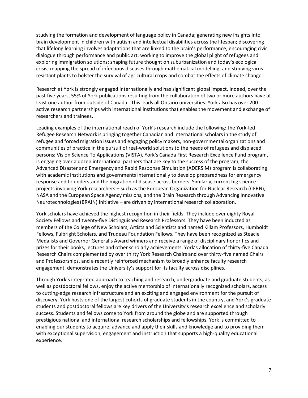studying the formation and development of language policy in Canada; generating new insights into brain development in children with autism and intellectual disabilities across the lifespan; discovering that lifelong learning involves adaptations that are linked to the brain's performance; encouraging civic dialogue through performance and public art; working to improve the global plight of refugees and exploring immigration solutions; shaping future thought on suburbanization and today's ecological crisis; mapping the spread of infectious diseases through mathematical modelling; and studying virusresistant plants to bolster the survival of agricultural crops and combat the effects of climate change.

Research at York is strongly engaged internationally and has significant global impact. Indeed, over the past five years, 55% of York publications resulting from the collaboration of two or more authors have at least one author from outside of Canada. This leads all Ontario universities. York also has over 200 active research partnerships with international institutions that enables the movement and exchange of researchers and trainees.

Leading examples of the international reach of York's research include the following: the York-led Refugee Research Network is bringing together Canadian and internationalscholars in the study of refugee and forced migration issues and engaging policy makers, non-governmental organizations and communities of practice in the pursuit of real-world solutionsto the needs of refugees and displaced persons; Vision Science To Applications (VISTA), York's Canada First Research Excellence Fund program, is engaging over a dozen international partners that are key to the success of the program; the Advanced Disaster and Emergency and Rapid Response Simulation (ADERSIM) program is collaborating with academic institutions and governments internationally to develop preparedness for emergency response and to understand the migration of disease across borders. Similarly, current big science projects involving York researchers – such as the European Organization for Nuclear Research (CERN), NASA and the European Space Agency missions, and the Brain Research through Advancing Innovative Neurotechnologies (BRAIN) Initiative – are driven by international research collaboration.

York scholars have achieved the highest recognition in their fields. They include over eighty Royal Society Fellows and twenty-five Distinguished Research Professors. They have been inducted as members of the College of New Scholars, Artists and Scientists and named Killam Professors, Humboldt Fellows, Fulbright Scholars, and Trudeau Foundation Fellows. They have been recognized as Steacie Medalists and Governor General's Award winners and receive a range of disciplinary honorifics and prizes for their books, lectures and other scholarly achievements. York's allocation of thirty-five Canada Research Chairs complemented by over thirty York Research Chairs and over thirty-five named Chairs and Professorships, and a recently reinforced mechanism to broadly enhance faculty research engagement, demonstrates the University's support for its faculty across disciplines.

Through York's integrated approach to teaching and research, undergraduate and graduate students, as well as postdoctoral fellows, enjoy the active mentorship of internationally recognized scholars, access to cutting-edge research infrastructure and an exciting and engaged environment for the pursuit of discovery. York hosts one of the largest cohorts of graduate students in the country, and York's graduate students and postdoctoral fellows are key drivers of the University's research excellence and scholarly success. Students and fellows come to York from around the globe and are supported through prestigious national and international research scholarships and fellowships. York is committed to enabling our students to acquire, advance and apply their skills and knowledge and to providing them with exceptional supervision, engagement and instruction that supports a high-quality educational experience.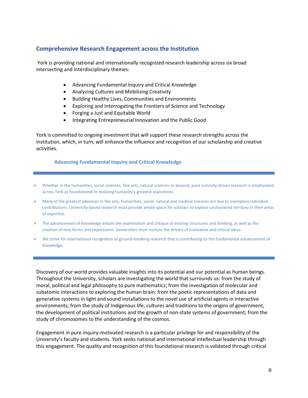## <span id="page-7-0"></span>**Comprehensive Research Engagement across the Institution**

York is providing national and internationally recognized research leadership across six broad intersecting and interdisciplinary themes:

- Advancing Fundamental Inquiry and Critical Knowledge
- Analyzing Cultures and Mobilizing Creativity
- Building Healthy Lives, Communities and Environments
- Exploring and Interrogating the Frontiers of Science and Technology
- Forging a Just and Equitable World
- Integrating Entrepreneurial Innovation and the Public Good

York is committed to ongoing investment that will support these research strengths across the institution, which, in turn, will enhance the influence and recognition of our scholarship and creative activities.

#### <span id="page-7-1"></span>**Advancing Fundamental Inquiry and Critical Knowledge**

- $\triangleright$  Whether in the humanities, social sciences, fine arts, natural sciences or beyond, pure curiosity-driven research is emphasized across York as foundational to realizing humanity's greatest aspirations.
- $\triangleright$  Many of the greatest advances in the arts, humanities, social, natural and medical sciences are due to exemplary individual contributions. University-based research must provide ample space for scholars to explore unchartered territory in their areas of expertise.
- $\triangleright$  The advancement of knowledge entails the examination and critique of existing structures and thinking, as well as the creation of new forms and expressions. Universities must nurture the drivers of innovative and critical ideas.
- $\triangleright$  We strive for international recognition of ground-breaking research that is contributing to the fundamental advancement of knowledge.

Discovery of our world provides valuable insights into its potential and our potential as human beings. Throughout the University, scholars are investigating the world that surrounds us: from the study of moral, political and legal philosophy to pure mathematics; from the investigation of molecular and subatomic interactions to exploring the human brain; from the poetic representations of data and generative systems in light and sound installations to the novel use of artificial agents in interactive environments; from the study of Indigenous life, cultures and traditions to the origins of government, the development of political institutions and the growth of non-state systems of government; from the study of chromosomes to the understanding of the cosmos.

Engagement in pure inquiry-motivated research is a particular privilege for and responsibility of the University's faculty and students. York seeks national and international intellectual leadership through this engagement. The quality and recognition of this foundational research is validated through critical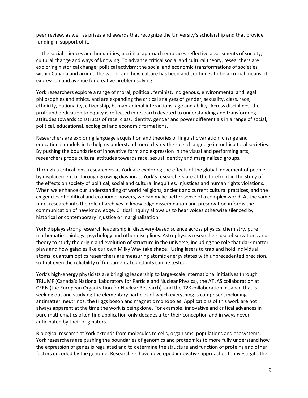peer review, as well as prizes and awards that recognize the University's scholarship and that provide funding in support of it.

In the social sciences and humanities, a critical approach embraces reflective assessments of society, cultural change and ways of knowing. To advance critical social and cultural theory, researchers are exploring historical change; political activism; the social and economic transformations of societies within Canada and around the world; and how culture has been and continues to be a crucial means of expression and avenue for creative problem solving.

York researchers explore a range of moral, political, feminist, Indigenous, environmental and legal philosophies and ethics, and are expanding the critical analyses of gender, sexuality, class, race, ethnicity, nationality, citizenship, human-animal interactions, age and ability. Across disciplines, the profound dedication to equity is reflected in research devoted to understanding and transforming attitudes towards constructs of race, class, identity, gender and power differentials in a range of social, political, educational, ecological and economic formations.

Researchers are exploring language acquisition and theories of linguistic variation, change and educational models in to help us understand more clearly the role of language in multicultural societies. By pushing the boundaries of innovative form and expression in the visual and performing arts, researchers probe cultural attitudes towards race, sexual identity and marginalized groups.

Through a critical lens, researchers at York are exploring the effects of the global movement of people, by displacement or through growing diasporas. York's researchers are at the forefront in the study of the effects on society of political, social and cultural inequities, injustices and human rights violations. When we enhance our understanding of world religions, ancient and current cultural practices, and the exigencies of political and economic powers, we can make better sense of a complex world. At the same time, research into the role of archives in knowledge dissemination and preservation informs the communication of new knowledge. Critical inquiry allows us to hear voices otherwise silenced by historical or contemporary injustice or marginalization.

York displays strong research leadership in discovery-based science across physics, chemistry, pure mathematics, biology, psychology and other disciplines. Astrophysics researchers use observations and theory to study the origin and evolution of structure in the universe, including the role that dark matter plays and how galaxies like our own Milky Way take shape. Using lasers to trap and hold individual atoms, quantum optics researchers are measuring atomic energy states with unprecedented precision, so that even the reliability of fundamental constants can be tested.

York's high-energy physicists are bringing leadership to large-scale international initiatives through TRIUMF (Canada's National Laboratory for Particle and Nuclear Physics), the ATLAS collaboration at CERN (the European Organization for Nuclear Research), and the T2K collaboration in Japan that is seeking out and studying the elementary particles of which everything is comprised, including antimatter, neutrinos, the Higgs boson and magnetic monopoles. Applications of this work are not always apparent at the time the work is being done. For example, innovative and critical advances in pure mathematics often find application only decades after their conception and in ways never anticipated by their originators.

Biological research at York extends from molecules to cells, organisms, populations and ecosystems. York researchers are pushing the boundaries of genomics and proteomics to more fully understand how the expression of genes is regulated and to determine the structure and function of proteins and other factors encoded by the genome. Researchers have developed innovative approaches to investigate the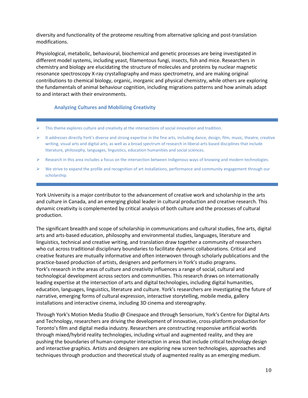diversity and functionality of the proteome resulting from alternative splicing and post-translation modifications.

Physiological, metabolic, behavioural, biochemical and genetic processes are being investigated in different model systems, including yeast, filamentous fungi, insects, fish and mice. Researchers in chemistry and biology are elucidating the structure of molecules and proteins by nuclear magnetic resonance spectroscopy X-ray crystallography and mass spectrometry, and are making original contributions to chemical biology, organic, inorganic and physical chemistry, while others are exploring the fundamentals of animal behaviour cognition, including migrations patterns and how animals adapt to and interact with their environments.

#### <span id="page-9-0"></span>**Analyzing Cultures and Mobilizing Creativity**

- $\triangleright$  This theme explores culture and creativity at the intersections of social innovation and tradition.
- $\triangleright$  It addresses directly York's diverse and strong expertise in the fine arts, including dance, design, film, music, theatre, creative writing, visual arts and digital arts, as well as a broad spectrum of research in liberal-arts based disciplines that include literature, philosophy, languages, linguistics, education humanities and social sciences.
- $\triangleright$  Research in this area includes a focus on the intersection between Indigenous ways of knowing and modern technologies.
- $\triangleright$  We strive to expand the profile and recognition of art installations, performance and community engagement through our scholarship.

York University is a major contributor to the advancement of creative work and scholarship in the arts and culture in Canada, and an emerging global leader in cultural production and creative research. This dynamic creativity is complemented by critical analysis of both culture and the processes of cultural production.

The significant breadth and scope of scholarship in communications and cultural studies, fine arts, digital arts and arts-based education, philosophy and environmental studies, languages, literature and linguistics, technical and creative writing, and translation draw together a community of researchers who cut across traditional disciplinary boundaries to facilitate dynamic collaborations. Critical and creative features are mutually informative and often interwoven through scholarly publications and the practice-based production of artists, designers and performers in York's studio programs. York's research in the areas of culture and creativity influences a range of social, cultural and technological development across sectors and communities. This research draws on internationally leading expertise at the intersection of arts and digital technologies, including digital humanities, education, languages, linguistics, literature and culture. York's researchers are investigating the future of narrative, emerging forms of cultural expression, interactive storytelling, mobile media, gallery installations and interactive cinema, including 3D cinema and stereography.

Through York's Motion Media Studio @ Cinespace and through Sensorium, York's Centre for Digital Arts and Technology, researchers are driving the development of innovative, cross-platform production for Toronto's film and digital media industry. Researchers are constructing responsive artificial worlds through mixed/hybrid reality technologies, including virtual and augmented reality, and they are pushing the boundaries of human-computer interaction in areas that include critical technology design and interactive graphics. Artists and designers are exploring new screen technologies, approaches and techniques through production and theoretical study of augmented reality as an emerging medium.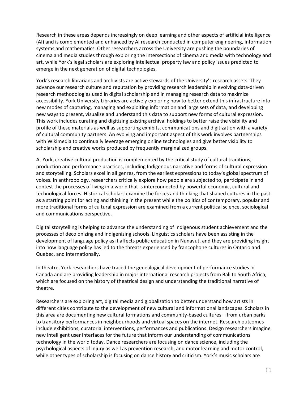Research in these areas depends increasingly on deep learning and other aspects of artificial intelligence (AI) and is complemented and enhanced by AI research conducted in computer engineering, information systems and mathematics. Other researchers across the University are pushing the boundaries of cinema and media studies through exploring the intersections of cinema and media with technology and art, while York's legal scholars are exploring intellectual property law and policy issues predicted to emerge in the next generation of digital technologies.

York's research librarians and archivists are active stewards of the University's research assets. They advance our research culture and reputation by providing research leadership in evolving data-driven research methodologies used in digital scholarship and in managing research data to maximize accessibility. York University Libraries are actively exploring how to better extend this infrastructure into new modes of capturing, managing and exploiting information and large sets of data, and developing new ways to present, visualize and understand this data to support new forms of cultural expression. This work includes curating and digitizing existing archival holdings to better raise the visibility and profile of these materials as well as supporting exhibits, communications and digitization with a variety of cultural community partners. An evolving and important aspect of this work involves partnerships with Wikimedia to continually leverage emerging online technologies and give better visibility to scholarship and creative works produced by frequently marginalized groups.

At York, creative cultural production is complemented by the critical study of cultural traditions, production and performance practices, including Indigenous narrative and forms of cultural expression and storytelling. Scholars excel in all genres, from the earliest expressions to today's global spectrum of voices. In anthropology, researchers critically explore how people are subjected to, participate in and contest the processes of living in a world that is interconnected by powerful economic, cultural and technological forces. Historical scholars examine the forces and thinking that shaped cultures in the past as a starting point for acting and thinking in the present while the politics of contemporary, popular and more traditional forms of cultural expression are examined from a current political science, sociological and communications perspective.

Digital storytelling is helping to advance the understanding of Indigenous student achievement and the processes of decolonizing and indigenizing schools. Linguistics scholars have been assisting in the development of language policy as it affects public education in Nunavut, and they are providing insight into how language policy has led to the threats experienced by francophone cultures in Ontario and Quebec, and internationally.

In theatre, York researchers have traced the genealogical development of performance studies in Canada and are providing leadership in major international research projects from Bali to South Africa, which are focused on the history of theatrical design and understanding the traditional narrative of theatre.

Researchers are exploring art, digital media and globalization to better understand how artists in different cities contribute to the development of new cultural and informational landscapes. Scholars in this area are documenting new cultural formations and community-based cultures – from urban parks to transitory performances in neighbourhoods and virtual spaces on the internet. Research outcomes include exhibitions, curatorial interventions, performances and publications. Design researchers imagine new intelligent user interfaces for the future that inform our understanding of communications technology in the world today. Dance researchers are focusing on dance science, including the psychological aspects of injury as well as prevention research, and motor learning and motor control, while other types of scholarship is focusing on dance history and criticism. York's music scholars are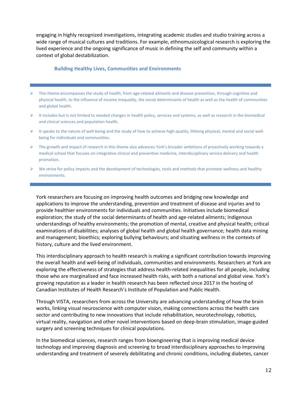engaging in highly recognized investigations, integrating academic studies and studio training across a wide range of musical cultures and traditions. For example, ethnomusicological research is exploring the lived experience and the ongoing significance of music in defining the self and community within a context of global destabilization.

#### <span id="page-11-0"></span>**Building Healthy Lives, Communities and Environments**

- $\triangleright$  This theme encompasses the study of health, from age-related ailments and disease prevention, through cognitive and physical health, to the influence of income inequality, the social determinants of health as well as the health of communities and global health.
- $\triangleright$  It includes but is not limited to needed changes in health policy, services and systems, as well as research in the biomedical and clinical sciences and population health.
- $\triangleright$  It speaks to the nature of well-being and the study of how to achieve high-quality, lifelong physical, mental and social wellbeing for individuals and communities.
- $\triangleright$  The growth and impact of research in this theme also advances York's broader ambitions of proactively working towards a medical school that focuses on integrative clinical and preventive medicine, interdisciplinary service delivery and health promotion.
- $\triangleright$  We strive for policy impacts and the development of technologies, tools and methods that promote wellness and healthy environments.

York researchers are focusing on improving health outcomes and bridging new knowledge and applications to improve the understanding, prevention and treatment of disease and injuries and to provide healthier environments for individuals and communities. Initiatives include biomedical exploration; the study of the social determinants of health and age-related ailments; Indigenous understandings of healthy environments; the promotion of mental, creative and physical health; critical examinations of disabilities; analyses of global health and global health governance; health data mining and management; bioethics; exploring bullying behaviours; and situating wellness in the contexts of history, culture and the lived environment.

This interdisciplinary approach to health research is making a significant contribution towards improving the overall health and well-being of individuals, communities and environments. Researchers at York are exploring the effectiveness of strategies that address health-related inequalities for all people, including those who are marginalized and face increased health risks, with both a national and global view. York's growing reputation as a leader in health research has been reflected since 2017 in the hosting of Canadian Institutes of Health Research's Institute of Population and Public Health.

Through VISTA, researchers from across the University are advancing understanding of how the brain works, linking visual neuroscience with computer vision, making connections across the health care sector and contributing to new innovations that include rehabilitation, neurotechnology, robotics, virtual reality, navigation and other novel interventions based on deep-brain stimulation, image-guided surgery and screening techniques for clinical populations.

In the biomedical sciences, research ranges from bioengineering that is improving medical device technology and improving diagnosis and screening to broad interdisciplinary approaches to improving understanding and treatment of severely debilitating and chronic conditions, including diabetes, cancer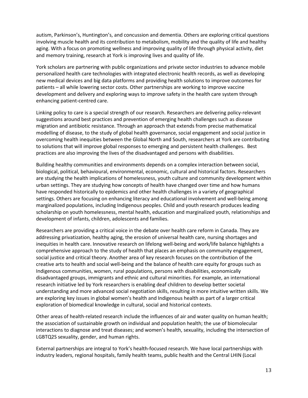autism, Parkinson's, Huntington's, and concussion and dementia. Others are exploring critical questions involving muscle health and its contribution to metabolism, mobility and the quality of life and healthy aging. With a focus on promoting wellness and improving quality of life through physical activity, diet and memory training, research at York is improving lives and quality of life.

York scholars are partnering with public organizations and private sector industries to advance mobile personalized health care technologies with integrated electronic health records, as well as developing new medical devices and big data platforms and providing health solutions to improve outcomes for patients – all while lowering sector costs. Other partnerships are working to improve vaccine development and delivery and exploring ways to improve safety in the health care system through enhancing patient-centred care.

Linking policy to care is a special strength of our research. Researchers are delivering policy-relevant suggestions around best practices and prevention of emerging health challenges such as disease migration and antibiotic resistance. Through an approach that extends from precise mathematical modelling of disease, to the study of global health governance, social engagement and social justice in overcoming health inequities between the Global North and South, researchers at York are contributing to solutions that will improve global responses to emerging and persistent health challenges. Best practices are also improving the lives of the disadvantaged and persons with disabilities.

Building healthy communities and environments depends on a complex interaction between social, biological, political, behavioural, environmental, economic, cultural and historical factors. Researchers are studying the health implications of homelessness, youth culture and community development within urban settings. They are studying how concepts of health have changed over time and how humans have responded historically to epidemics and other health challenges in a variety of geographical settings. Others are focusing on enhancing literacy and educational involvement and well-being among marginalized populations, including Indigenous peoples. Child and youth research produces leading scholarship on youth homelessness, mental health, education and marginalized youth, relationships and development of infants, children, adolescents and families.

Researchers are providing a critical voice in the debate over health care reform in Canada. They are addressing privatization, healthy aging, the erosion of universal health care, nursing shortages and inequities in health care. Innovative research on lifelong well-being and work/life balance highlights a comprehensive approach to the study of health that places an emphasis on community engagement, social justice and critical theory. Another area of key research focuses on the contribution of the creative arts to health and social well-being and the balance of health care equity for groups such as Indigenous communities, women, rural populations, persons with disabilities, economically disadvantaged groups, immigrants and ethnic and cultural minorities. For example, an international research initiative led by York researchers is enabling deaf children to develop better societal understanding and more advanced social negotiation skills, resulting in more intuitive written skills. We are exploring key issues in global women's health and Indigenous health as part of a larger critical exploration of biomedical knowledge in cultural, social and historical contexts.

Other areas of health-related research include the influences of air and water quality on human health; the association of sustainable growth on individual and population health; the use of biomolecular interactions to diagnose and treat diseases; and women's health, sexuality, including the intersection of LGBTQ2S sexuality, gender, and human rights.

External partnerships are integral to York's health-focused research. We have local partnerships with industry leaders, regional hospitals, family health teams, public health and the Central LHIN (Local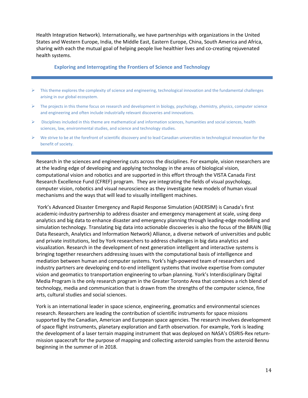Health Integration Network). Internationally, we have partnerships with organizations in the United States and Western Europe, India, the Middle East, Eastern Europe, China, South America and Africa, sharing with each the mutual goal of helping people live healthier lives and co-creating rejuvenated health systems.

#### <span id="page-13-0"></span>**Exploring and Interrogating the Frontiers of Science and Technology**

- $\triangleright$  This theme explores the complexity of science and engineering, technological innovation and the fundamental challenges arising in our global ecosystem.
- $\triangleright$  The projects in this theme focus on research and development in biology, psychology, chemistry, physics, computer science and engineering and often include industrially relevant discoveries and innovations.
- $\triangleright$  Disciplines included in this theme are mathematical and information sciences, humanities and social sciences, health sciences, law, environmental studies, and science and technology studies.
- $\triangleright$  We strive to be at the forefront of scientific discovery and to lead Canadian universities in technological innovation for the benefit of society.

Research in the sciences and engineering cuts across the disciplines. For example, vision researchers are at the leading edge of developing and applying technology in the areas of biological vision, computational vision and robotics and are supported in this effort through the VISTA Canada First Research Excellence Fund (CFREF) program. They are integrating the fields of visual psychology, computer vision, robotics and visual neuroscience as they investigate new models of human visual mechanisms and the ways that will lead to visually intelligent machines.

York's Advanced Disaster Emergency and Rapid Response Simulation (ADERSIM) is Canada's first academic-industry partnership to address disaster and emergency management at scale, using deep analytics and big data to enhance disaster and emergency planning through leading-edge modelling and simulation technology. Translating big data into actionable discoveries is also the focus of the BRAIN (Big Data Research, Analytics and Information Network) Alliance, a diverse network of universities and public and private institutions, led by York researchers to address challenges in big data analytics and visualization. Research in the development of next generation intelligent and interactive systems is bringing together researchers addressing issues with the computational basis of intelligence and mediation between human and computer systems. York's high-powered team of researchers and industry partners are developing end-to-end intelligent systems that involve expertise from computer vision and geomatics to transportation engineering to urban planning. York's Interdisciplinary Digital Media Program is the only research program in the Greater Toronto Area that combines a rich blend of technology, media and communication that is drawn from the strengths of the computer science, fine arts, cultural studies and social sciences.

York is an international leader in space science, engineering, geomatics and environmental sciences research. Researchers are leading the contribution of scientific instruments for space missions supported by the Canadian, American and European space agencies. The research involves development of space flight instruments, planetary exploration and Earth observation. For example, York is leading the development of a laser terrain mapping instrument that was deployed on NASA's OSIRIS-Rex returnmission spacecraft for the purpose of mapping and collecting asteroid samples from the asteroid Bennu beginning in the summer of in 2018.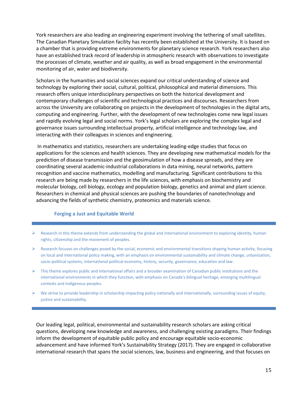York researchers are also leading an engineering experiment involving the tethering of small satellites. The Canadian Planetary Simulation facility has recently been established at the University. It is based on a chamber that is providing extreme environments for planetary science research. York researchers also have an established track record of leadership in atmospheric research with observations to investigate the processes of climate, weather and air quality, as well as broad engagement in the environmental monitoring of air, water and biodiversity.

Scholars in the humanities and social sciences expand our critical understanding of science and technology by exploring their social, cultural, political, philosophical and material dimensions. This research offers unique interdisciplinary perspectives on both the historical development and contemporary challenges of scientific and technological practices and discourses. Researchers from across the University are collaborating on projects in the development of technologies in the digital arts, computing and engineering. Further, with the development of new technologies come new legal issues and rapidly evolving legal and social norms. York's legal scholars are exploring the complex legal and governance issues surrounding intellectual property, artificial intelligence and technology law, and interacting with their colleagues in sciences and engineering.

In mathematics and statistics, researchers are undertaking leading-edge studies that focus on applications for the sciences and health sciences. They are developing new mathematical models for the prediction of disease transmission and the geosimulation of how a disease spreads, and they are coordinating several academic-industrial collaborations in data mining, neural networks, pattern recognition and vaccine mathematics, modelling and manufacturing. Significant contributions to this research are being made by researchers in the life sciences, with emphasis on biochemistry and molecular biology, cell biology, ecology and population biology, genetics and animal and plant science. Researchers in chemical and physical sciences are pushing the boundaries of nanotechnology and advancing the fields of synthetic chemistry, proteomics and materials science.

#### <span id="page-14-0"></span>**Forging a Just and Equitable World**

- $\triangleright$  Research in this theme extends from understanding the global and international environment to exploring identity, human rights, citizenship and the movement of peoples.
- $\triangleright$  Research focuses on challenges posed by the social, economic and environmental transitions shaping human activity, focusing on local and international policy making, with an emphasis on environmental sustainability and climate change, urbanization, socio-political systems, international political economy, history, security, governance, education and law.
- $\triangleright$  This theme explores public and international affairs and a broader examination of Canadian public institutions and the international environments in which they function, with emphasis on Canada's bilingual heritage, emerging multilingual contexts and Indigenous peoples.
- $\triangleright$  We strive to provide leadership in scholarship impacting policy nationally and internationally, surrounding issues of equity, justice and sustainability.

Our leading legal, political, environmental and sustainability research scholars are asking critical questions, developing new knowledge and awareness, and challenging existing paradigms. Their findings inform the development of equitable public policy and encourage equitable socio-economic advancement and have informed York's Sustainability Strategy (2017). They are engaged in collaborative international research that spans the social sciences, law, business and engineering, and that focuses on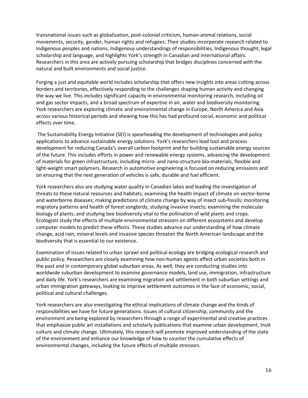transnational issues such as globalization, post-colonial criticism, human-animal relations, social movements, security, gender, human rights and refugees. Their studies incorporate research related to Indigenous peoples and nations, Indigenous understandings of responsibilities, Indigenous thought, legal scholarship and language, and highlights York's strength in Canadian and international affairs. Researchers in this area are actively pursuing scholarship that bridges disciplines concerned with the natural and built environments and social justice.

Forging a just and equitable world includes scholarship that offers new insights into areas cutting across borders and territories, effectively responding to the challenges shaping human activity and changing the way we live. This includes significant capacity in environmental monitoring research, including oil and gas sector impacts, and a broad spectrum of expertise in air, water and biodiversity monitoring. York researchers are exploring climatic and environmental change in Europe, North America and Asia across various historical periods and showing how this has had profound social, economic and political effects over time.

The Sustainability Energy Initiative (SEI) is spearheading the development of technologies and policy applications to advance sustainable energy solutions. York's researchers lead tool and process development for reducing Canada's overall carbon footprint and for building sustainable energy sources of the future. This includes efforts in power and renewable energy systems, advancing the development of materials for green infrastructure, including micro- and nano-structure bio-materials, flexible and light-weight smart polymers. Research in automotive engineering is focused on reducing emissions and on ensuring that the next generation of vehicles is safe, durable and fuel efficient.

York researchers also are studying water quality in Canadian lakes and leading the investigation of threats to these natural resources and habitats; examining the health impact of climate on vector-borne and waterborne diseases; making predictions of climate change by way of insect sub-fossils; monitoring migratory patterns and health of forest songbirds; studying invasive insects; examining the molecular biology of plants; and studying bee biodiversity vital to the pollination of wild plants and crops. Ecologists study the effects of multiple environmental stressors on different ecosystems and develop computer models to predict these effects. These studies advance our understanding of how climate change, acid rain, mineral levels and invasive species threaten the North American landscape and the biodiversity that is essential to our existence.

Examination of issues related to urban sprawl and political ecology are bridging ecological research and public policy. Researchers are closely examining how non-human agents affect urban societies both in the past and in contemporary global suburban areas. As well, they are conducting studies into worldwide suburban development to examine governance models, land use, immigration, infrastructure and daily life. York's researchers are examining migration and settlement in both suburban settings and urban immigration gateways, looking to improve settlement outcomes in the face of economic, social, political and cultural challenges.

York researchers are also investigating the ethical implications of climate change and the kinds of responsibilities we have for future generations. Issues of cultural citizenship, community and the environment are being explored by researchers through a range of experimental and creative practices that emphasize public art installations and scholarly publications that examine urban development, Inuit culture and climate change. Ultimately, this research will promote improved understanding of the state of the environment and enhance our knowledge of how to counter the cumulative effects of environmental changes, including the future effects of multiple stressors.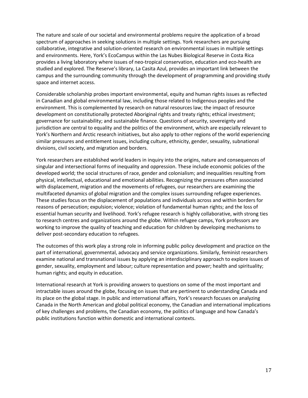The nature and scale of our societal and environmental problems require the application of a broad spectrum of approaches in seeking solutions in multiple settings. York researchers are pursuing collaborative, integrative and solution-oriented research on environmental issues in multiple settings and environments. Here, York's EcoCampus within the Las Nubes Biological Reserve in Costa Rica provides a living laboratory where issues of neo-tropical conservation, education and eco-health are studied and explored. The Reserve's library, La Casita Azul, provides an important link between the campus and the surrounding community through the development of programming and providing study space and internet access.

Considerable scholarship probes important environmental, equity and human rights issues as reflected in Canadian and global environmental law, including those related to Indigenous peoples and the environment. This is complemented by research on natural resources law; the impact of resource development on constitutionally protected Aboriginal rights and treaty rights; ethical investment; governance for sustainability; and sustainable finance. Questions of security, sovereignty and jurisdiction are central to equality and the politics of the environment, which are especially relevant to York's Northern and Arctic research initiatives, but also apply to other regions of the world experiencing similar pressures and entitlement issues, including culture, ethnicity, gender, sexuality, subnational divisions, civil society, and migration and borders.

York researchers are established world leaders in inquiry into the origins, nature and consequences of singular and intersectional forms of inequality and oppression. These include economic policies of the developed world; the social structures of race, gender and colonialism; and inequalities resulting from physical, intellectual, educational and emotional abilities. Recognizing the pressures often associated with displacement, migration and the movements of refugees, our researchers are examining the multifaceted dynamics of global migration and the complex issues surrounding refugee experiences. These studies focus on the displacement of populations and individuals across and within borders for reasons of persecution; expulsion; violence; violation of fundamental human rights; and the loss of essential human security and livelihood. York's refugee research is highly collaborative, with strong ties to research centres and organizations around the globe. Within refugee camps, York professors are working to improve the quality of teaching and education for children by developing mechanisms to deliver post-secondary education to refugees.

The outcomes of this work play a strong role in informing public policy development and practice on the part of international, governmental, advocacy and service organizations. Similarly, feminist researchers examine national and transnational issues by applying an interdisciplinary approach to explore issues of gender, sexuality, employment and labour; culture representation and power; health and spirituality; human rights; and equity in education.

<span id="page-16-0"></span>International research at York is providing answers to questions on some of the most important and intractable issues around the globe, focusing on issues that are pertinent to understanding Canada and its place on the global stage. In public and international affairs, York's research focuses on analyzing Canada in the North American and global political economy, the Canadian and international implications of key challenges and problems, the Canadian economy, the politics of language and how Canada's public institutions function within domestic and international contexts.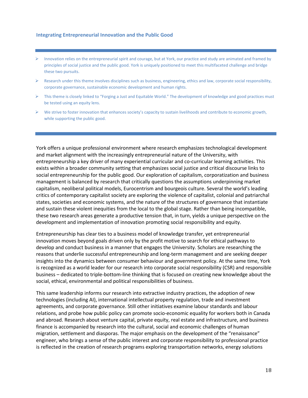#### **Integrating Entrepreneurial Innovation and the Public Good**

- $\triangleright$  Innovation relies on the entrepreneurial spirit and courage, but at York, our practice and study are animated and framed by principles of social justice and the public good. York is uniquely positioned to meet this multifaceted challenge and bridge these two pursuits.
- Research under this theme involves disciplines such as business, engineering, ethics and law, corporate social responsibility, corporate governance, sustainable economic development and human rights.
- $\triangleright$  This theme is closely linked to "Forging a Just and Equitable World." The development of knowledge and good practices must be tested using an equity lens.
- $\triangleright$  We strive to foster innovation that enhances society's capacity to sustain livelihoods and contribute to economic growth, while supporting the public good.

York offers a unique professional environment where research emphasizes technological development and market alignment with the increasingly entrepreneurial nature of the University, with entrepreneurship a key driver of many experiential curricular and co-curricular learning activities. This exists within a broader community setting that emphasizes social justice and critical discourse links to social entrepreneurship for the public good. Our exploration of capitalism, corporatization and business management is balanced by research that critically questions the assumptions underpinning market capitalism, neoliberal political models, Eurocentrism and bourgeois culture. Several the world's leading critics of contemporary capitalist society are exploring the violence of capitalist, colonial and patriarchal states, societies and economic systems, and the nature of the structures of governance that instantiate and sustain these violent inequities from the local to the global stage. Rather than being incompatible, these two research areas generate a productive tension that, in turn, yields a unique perspective on the development and implementation of innovation promoting social responsibility and equity.

Entrepreneurship has clear ties to a business model of knowledge transfer, yet entrepreneurial innovation moves beyond goals driven only by the profit motive to search for ethical pathways to develop and conduct business in a manner that engages the University. Scholars are researching the reasons that underlie successful entrepreneurship and long-term management and are seeking deeper insights into the dynamics between consumer behaviour and government policy. At the same time, York is recognized as a world leader for our research into corporate social responsibility (CSR) and responsible business – dedicated to triple-bottom-line thinking that is focused on creating new knowledge about the social, ethical, environmental and political responsibilities of business.

This same leadership informs our research into extractive industry practices, the adoption of new technologies (including AI), international intellectual property regulation, trade and investment agreements, and corporate governance. Still other initiatives examine labour standards and labour relations, and probe how public policy can promote socio-economic equality for workers both in Canada and abroad. Research about venture capital, private equity, real estate and infrastructure, and business finance is accompanied by research into the cultural, social and economic challenges of human migration, settlement and diasporas. The major emphasis on the development of the "renaissance" engineer, who brings a sense of the public interest and corporate responsibility to professional practice is reflected in the creation of research programs exploring transportation networks, energy solutions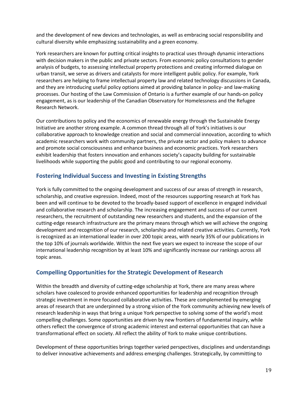and the development of new devices and technologies, as well as embracing social responsibility and cultural diversity while emphasizing sustainability and a green economy.

York researchers are known for putting critical insights to practical uses through dynamic interactions with decision makers in the public and private sectors. From economic policy consultations to gender analysis of budgets, to assessing intellectual property protections and creating informed dialogue on urban transit, we serve as drivers and catalysts for more intelligent public policy. For example, York researchers are helping to frame intellectual property law and related technology discussions in Canada, and they are introducing useful policy options aimed at providing balance in policy- and law-making processes. Our hosting of the Law Commission of Ontario is a further example of our hands-on policy engagement, as is our leadership of the Canadian Observatory for Homelessness and the Refugee Research Network.

Our contributions to policy and the economics of renewable energy through the Sustainable Energy Initiative are another strong example. A common thread through all of York's initiatives is our collaborative approach to knowledge creation and social and commercial innovation, according to which academic researchers work with community partners, the private sector and policy makers to advance and promote social consciousness and enhance business and economic practices. York researchers exhibit leadership that fosters innovation and enhances society's capacity building for sustainable livelihoods while supporting the public good and contributing to our regional economy.

## <span id="page-18-0"></span>**Fostering Individual Success and Investing in Existing Strengths**

York is fully committed to the ongoing development and success of our areas of strength in research, scholarship, and creative expression. Indeed, most of the resources supporting research at York has been and will continue to be devoted to the broadly-based support of excellence in engaged individual and collaborative research and scholarship. The increasing engagement and success of our current researchers, the recruitment of outstanding new researchers and students, and the expansion of the cutting-edge research infrastructure are the primary means through which we will achieve the ongoing development and recognition of our research, scholarship and related creative activities. Currently, York is recognized as an international leader in over 200 topic areas, with nearly 35% of our publications in the top 10% of journals worldwide. Within the next five years we expect to increase the scope of our international leadership recognition by at least 10% and significantly increase our rankings across all topic areas.

## <span id="page-18-1"></span>**Compelling Opportunities for the Strategic Development of Research**

Within the breadth and diversity of cutting-edge scholarship at York, there are many areas where scholars have coalesced to provide enhanced opportunities for leadership and recognition through strategic investment in more focused collaborative activities. These are complemented by emerging areas of research that are underpinned by a strong vision of the York community achieving new levels of research leadership in ways that bring a unique York perspective to solving some of the world's most compelling challenges. Some opportunities are driven by new frontiers of fundamental inquiry, while others reflect the convergence of strong academic interest and external opportunities that can have a transformational effect on society. All reflect the ability of York to make unique contributions.

Development of these opportunities brings together varied perspectives, disciplines and understandings to deliver innovative achievements and address emerging challenges. Strategically, by committing to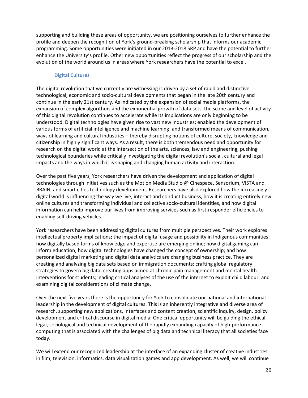supporting and building these areas of opportunity, we are positioning ourselves to further enhance the profile and deepen the recognition of York's ground-breaking scholarship that informs our academic programming. Some opportunities were initiated in our 2013-2018 SRP and have the potential to further enhance the University's profile. Other new opportunities reflect the progress of our scholarship and the evolution of the world around us in areas where York researchers have the potential to excel.

#### **Digital Cultures**

<span id="page-19-0"></span>The digital revolution that we currently are witnessing is driven by a set of rapid and distinctive technological, economic and socio-cultural developments that began in the late 20th century and continue in the early 21st century. As indicated by the expansion of social media platforms, the expansion of complex algorithms and the exponential growth of data sets, the scope and level of activity of this digital revolution continues to accelerate while its implications are only beginning to be understood. Digital technologies have given rise to vast new industries; enabled the development of various forms of artificial intelligence and machine learning; and transformed means of communication, ways of learning and cultural industries – thereby disrupting notions of culture, society, knowledge and citizenship in highly significant ways. As a result, there is both tremendous need and opportunity for research on the digital world at the intersection of the arts, sciences, law and engineering, pushing technological boundaries while critically investigating the digital revolution's social, cultural and legal impacts and the ways in which it is shaping and changing human activity and interaction.

Over the past five years, York researchers have driven the development and application of digital technologies through initiatives such as the Motion Media Studio @ Cinespace, Sensorium, VISTA and BRAIN, and smart cities technology development. Researchers have also explored how the increasingly digital world is influencing the way we live, interact and conduct business, how it is creating entirely new online cultures and transforming individual and collective socio-cultural identities, and how digital information can help improve our lives from improving services such as first-responder efficiencies to enabling self-driving vehicles.

York researchers have been addressing digital cultures from multiple perspectives. Their work explores intellectual property implications; the impact of digital usage and possibility in Indigenous communities; how digitally based forms of knowledge and expertise are emerging online; how digital gaming can inform education; how digital technologies have changed the concept of ownership; and how personalized digital marketing and digital data analytics are changing business practice. They are creating and analyzing big data sets based on immigration documents; crafting global regulatory strategies to govern big data; creating apps aimed at chronic pain management and mental health interventions for students; leading critical analyses of the use of the internet to exploit child labour; and examining digital considerations of climate change.

Over the next five years there is the opportunity for York to consolidate our national and international leadership in the development of digital cultures. This is an inherently integrative and diverse area of research, supporting new applications, interfaces and content creation, scientific inquiry, design, policy development and critical discourse in digital media. One critical opportunity will be guiding the ethical, legal, sociological and technical development of the rapidly expanding capacity of high-performance computing that is associated with the challenges of big data and technical literacy that all societies face today.

We will extend our recognized leadership at the interface of an expanding cluster of creative industries in film, television, informatics, data visualization games and app development. As well, we will continue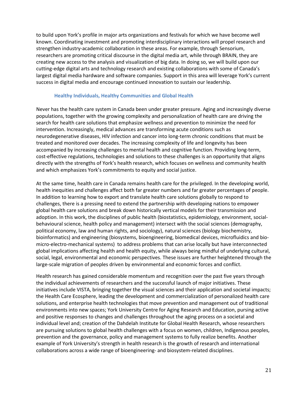to build upon York's profile in major arts organizations and festivals for which we have become well known. Coordinating investment and promoting interdisciplinary interactions will propel research and strengthen industry-academic collaboration in these areas. For example, through Sensorium, researchers are promoting critical discourse in the digital media art, while through BRAIN, they are creating new access to the analysis and visualization of big data. In doing so, we will build upon our cutting-edge digital arts and technology research and existing collaborations with some of Canada's largest digital media hardware and software companies. Support in this area will leverage York's current success in digital media and encourage continued innovation to sustain our leadership.

#### <span id="page-20-0"></span>**Healthy Individuals, Healthy Communities and Global Health**

Never has the health care system in Canada been under greater pressure. Aging and increasingly diverse populations, together with the growing complexity and personalization of health care are driving the search for health care solutions that emphasize wellness and prevention to minimize the need for intervention. Increasingly, medical advances are transforming acute conditions such as neurodegenerative diseases, HIV infection and cancer into long-term chronic conditions that must be treated and monitored over decades. The increasing complexity of life and longevity has been accompanied by increasing challenges to mental health and cognitive function. Providing long-term, cost-effective regulations, technologies and solutions to these challenges is an opportunity that aligns directly with the strengths of York's health research, which focuses on wellness and community health and which emphasizes York's commitments to equity and social justice.

At the same time, health care in Canada remains health care for the privileged. In the developing world, health inequities and challenges affect both far greater numbers and far greater percentages of people. In addition to learning how to export and translate health care solutions globally to respond to challenges, there is a pressing need to extend the partnership with developing nations to empower global health care solutions and break down historically vertical models for their transmission and adoption. In this work, the disciplines of public health (biostatistics, epidemiology, environment, socialbehavioural science, health policy and management) intersect with the social sciences (demography, political economy, law and human rights, and sociology), natural sciences (biology biochemistry, bioinformatics) and engineering (biosystems, bioengineering, biomedical devices, microfluidics and biomicro-electro-mechanical systems) to address problems that can arise locally but have interconnected global implications affecting health and health equity, while always being mindful of underlying cultural, social, legal, environmental and economic perspectives. These issues are further heightened through the large-scale migration of peoples driven by environmental and economic forces and conflict.

Health research has gained considerable momentum and recognition over the past five years through the individual achievements of researchers and the successful launch of major initiatives. These initiatives include VISTA, bringing together the visual sciences and their application and societal impacts; the Health Care Ecosphere, leading the development and commercialization of personalized health care solutions, and enterprise health technologies that move prevention and management out of traditional environments into new spaces; York University Centre for Aging Research and Education, pursing active and positive responses to changes and challenges throughout the aging process on a societal and individual level and; creation of the Dahdelah Institute for Global Health Research, whose researchers are pursuing solutions to global health challenges with a focus on women, children, Indigenous peoples, prevention and the governance, policy and management systems to fully realize benefits. Another example of York University's strength in health research is the growth of research and international collaborations across a wide range of bioengineering- and biosystem-related disciplines.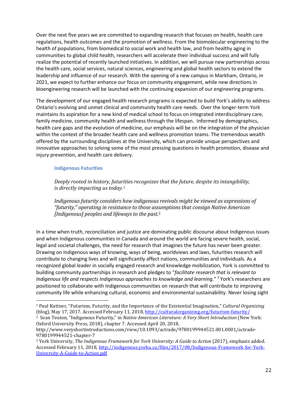Over the next five years we are committed to expanding research that focuses on health, health care regulations, health outcomes and the promotion of wellness. From the biomolecular engineering to the health of populations, from biomedical to social work and health law, and from healthy aging in communities to global child health, researchers will accelerate their individual success and will fully realize the potential of recently launched initiatives. In addition, we will pursue new partnerships across the health care, social services, natural sciences, engineering and global health sectors to extend the leadership and influence of our research. With the opening of a new campus in Markham, Ontario, in 2021, we expect to further enhance our focus on community engagement, while new directions in bioengineering research will be launched with the continuing expansion of our engineering programs.

The development of our engaged health research programs is expected to build York's ability to address Ontario's evolving and unmet clinical and community health care needs. Over the longer-term York maintains its aspiration for a new kind of medical school to focus on integrated interdisciplinary care, family medicine, community health and wellness through the lifespan. Informed by demographics, health care gaps and the evolution of medicine, our emphasis will be on the integration of the physician within the context of the broader health care and wellness promotion teams. The tremendous wealth offered by the surrounding disciplines at the University, which can provide unique perspectives and innovative approaches to solving some of the most pressing questions in health promotion, disease and injury prevention, and health care delivery.

#### <span id="page-21-0"></span>**Indigenous Futurities**

*Deeply rooted in history, futu[rit](#page-21-1)ies recognizes that the future, despite its intangibility, is directly impacting us today.*<sup>1</sup>

*Indigenous futurity considers how indigenous revivals might be viewed as expressions of "futurity," operating in resistance to those ass[u](#page-21-2)mptions that consign Native American [Indigenous] peoples and lifeways to the past.*<sup>2</sup>

In a time when truth, reconciliation and justice are dominating public discourse about Indigenous issues and when Indigenous communities in Canada and around the world are facing severe health, social, legal and societal challenges, the need for research that imagines the future has never been greater. Drawing on Indigenous ways of knowing, ways of being, worldviews and laws, futurities research will contribute to changing lives and will significantly affect nations, communities and individuals. As a recognized global leader in socially engaged research and knowledge mobilization, York is committed to building community partnerships in research and pledges to "*facilitate research that is relevant to Indigenous life and respects Indigenous approaches to knowledge and learning."* [3](#page-21-3) York's researchers are positioned to collaborate with Indigenous communities on research that will contribute to improving community life while enhancing cultural, economic and environmental sustainability. Never losing sight

<span id="page-21-2"></span>2 Sean Teuton, "Indigenous Futurity," in *Native American Literature: A Very Short Introduction* (New York: Oxford University Press, 2018), chapter 7. Accessed April 20, 2018,

<span id="page-21-1"></span> <sup>1</sup> Paul Kuttner, "Futurism, Futurity, and the Importance of the Existential Imagination," *Cultural Organizing*  (blog), May 17, 2017. Accessed February 11, 2018,<http://culturalorganizing.org/futurism-futurity/>

http://www.veryshortintroductions.com/view/10.1093/actrade/9780199944521.001.0001/actrade-9780199944521-chapter-7

<span id="page-21-3"></span><sup>3</sup> York University, *The Indigenous Framework for York University: A Guide to Action* (2017), emphasis added. Accessed February 11, 2018[, http://indigenous.yorku.ca/files/2017/08/Indigenous-Framework-for-York-](http://indigenous.yorku.ca/files/2017/08/Indigenous-Framework-for-York-University-A-Guide-to-Action.pdf)[University-A-Guide-to-Action.pdf](http://indigenous.yorku.ca/files/2017/08/Indigenous-Framework-for-York-University-A-Guide-to-Action.pdf)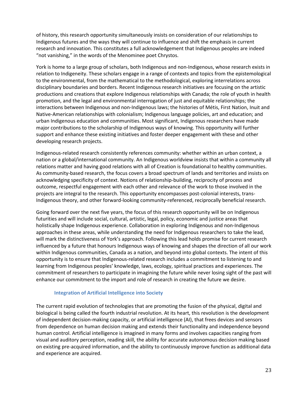of history, this research opportunity simultaneously insists on consideration of our relationships to Indigenous futures and the ways they will continue to influence and shift the emphasis in current research and innovation. This constitutes a full acknowledgement that Indigenous peoples are indeed "not vanishing," in the words of the Menominee poet Chrystos.

York is home to a large group of scholars, both Indigenous and non-Indigenous, whose research exists in relation to Indigeneity. These scholars engage in a range of contexts and topics from the epistemological to the environmental, from the mathematical to the methodological, exploring interrelations across disciplinary boundaries and borders. Recent Indigenous research initiatives are focusing on the artistic productions and creations that explore Indigenous relationships with Canada; the role of youth in health promotion, and the legal and environmental interrogation of just and equitable relationships; the interactions between Indigenous and non-Indigenous laws; the histories of Métis, First Nation, Inuit and Native-American relationships with colonialism; Indigenous language policies, art and education; and urban Indigenous education and communities. Most significant, Indigenous researchers have made major contributions to the scholarship of Indigenous ways of knowing. This opportunity will further support and enhance these existing initiatives and foster deeper engagement with these and other developing research projects.

Indigenous-related research consistently references community: whether within an urban context, a nation or a global/international community. An Indigenous worldview insists that within a community all relations matter and having good relations with all of Creation is foundational to healthy communities. As community-based research, the focus covers a broad spectrum of lands and territories and insists on acknowledging specificity of context. Notions of relationship-building, reciprocity of process and outcome, respectful engagement with each other and relevance of the work to those involved in the projects are integral to the research. This opportunity encompasses post-colonial interests, trans-Indigenous theory, and other forward-looking community-referenced, reciprocally beneficial research.

Going forward over the next five years, the focus of this research opportunity will be on Indigenous futurities and will include social, cultural, artistic, legal, policy, economic and justice areas that holistically shape Indigenous experience. Collaboration in exploring Indigenous and non-Indigenous approaches in these areas, while understanding the need for Indigenous researchers to take the lead, will mark the distinctiveness of York's approach. Following this lead holds promise for current research influenced by a future that honours Indigenous ways of knowing and shapes the direction of all our work within Indigenous communities, Canada as a nation, and beyond into global contexts. The intent of this opportunity is to ensure that Indigenous-related research includes a commitment to listening to and learning from Indigenous peoples' knowledge, laws, ecology, spiritual practices and experiences. The commitment of researchers to participate in imagining the future while never losing sight of the past will enhance our commitment to the import and role of research in creating the future we desire.

#### <span id="page-22-0"></span>**Integration of Artificial Intelligence into Society**

The current rapid evolution of technologies that are promoting the fusion of the physical, digital and biological is being called the fourth industrial revolution. At its heart, this revolution is the development of independent decision-making capacity, or artificial intelligence (AI), that frees devices and sensors from dependence on human decision making and extends their functionality and independence beyond human control. Artificial intelligence is imagined in many forms and involves capacities ranging from visual and auditory perception, reading skill, the ability for accurate autonomous decision making based on existing pre-acquired information, and the ability to continuously improve function as additional data and experience are acquired.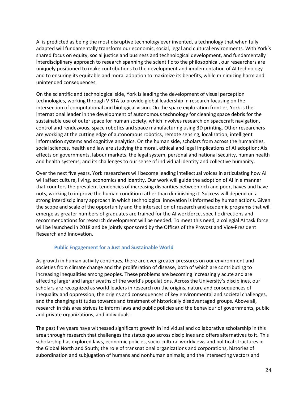AI is predicted as being the most disruptive technology ever invented, a technology that when fully adapted will fundamentally transform our economic, social, legal and cultural environments. With York's shared focus on equity, social justice and business and technological development, and fundamentally interdisciplinary approach to research spanning the scientific to the philosophical, our researchers are uniquely positioned to make contributions to the development and implementation of AI technology and to ensuring its equitable and moral adoption to maximize its benefits, while minimizing harm and unintended consequences.

On the scientific and technological side, York is leading the development of visual perception technologies, working through VISTA to provide global leadership in research focusing on the intersection of computational and biological vision. On the space exploration frontier, York is the international leader in the development of autonomous technology for cleaning space debris for the sustainable use of outer space for human society, which involves research on spacecraft navigation, control and rendezvous, space robotics and space manufacturing using 3D printing. Other researchers are working at the cutting edge of autonomous robotics, remote sensing, localization, intelligent information systems and cognitive analytics. On the human side, scholars from across the humanities, social sciences, health and law are studying the moral, ethical and legal implications of AI adoption; AIs effects on governments, labour markets, the legal system, personal and national security, human health and health systems; and its challenges to our sense of individual identity and collective humanity.

Over the next five years, York researchers will become leading intellectual voices in articulating how AI will affect culture, living, economics and identity. Our work will guide the adoption of AI in a manner that counters the prevalent tendencies of increasing disparities between rich and poor, haves and have nots, working to improve the human condition rather than diminishing it. Success will depend on a strong interdisciplinary approach in which technological innovation is informed by human actions. Given the scope and scale of the opportunity and the intersection of research and academic programs that will emerge as greater numbers of graduates are trained for the AI workforce, specific directions and recommendations for research development will be needed. To meet this need, a collegial AI task force will be launched in 2018 and be jointly sponsored by the Offices of the Provost and Vice-President Research and Innovation.

#### <span id="page-23-0"></span>**Public Engagement for a Just and Sustainable World**

As growth in human activity continues, there are ever-greater pressures on our environment and societies from climate change and the proliferation of disease, both of which are contributing to increasing inequalities among peoples. These problems are becoming increasingly acute and are affecting larger and larger swaths of the world's populations. Across the University's disciplines, our scholars are recognized as world leaders in research on the origins, nature and consequences of inequality and oppression, the origins and consequences of key environmental and societal challenges, and the changing attitudes towards and treatment of historically disadvantaged groups. Above all, research in this area strives to inform laws and public policies and the behaviour of governments, public and private organizations, and individuals.

The past five years have witnessed significant growth in individual and collaborative scholarship in this area through research that challenges the status quo across disciplines and offers alternatives to it. This scholarship has explored laws, economic policies, socio-cultural worldviews and political structures in the Global North and South; the role of transnational organizations and corporations, histories of subordination and subjugation of humans and nonhuman animals; and the intersecting vectors and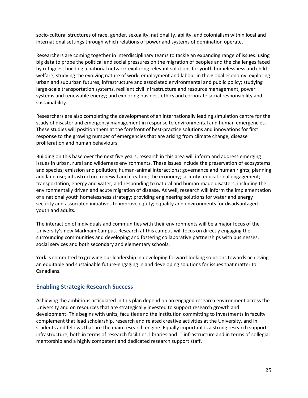socio-cultural structures of race, gender, sexuality, nationality, ability, and colonialism within local and international settings through which relations of power and systems of domination operate.

Researchers are coming together in interdisciplinary teams to tackle an expanding range of issues: using big data to probe the political and social pressures on the migration of peoples and the challenges faced by refugees; building a national network exploring relevant solutions for youth homelessness and child welfare; studying the evolving nature of work, employment and labour in the global economy; exploring urban and suburban futures, infrastructure and associated environmental and public policy; studying large-scale transportation systems, resilient civil infrastructure and resource management, power systems and renewable energy; and exploring business ethics and corporate social responsibility and sustainability.

Researchers are also completing the development of an internationally leading simulation centre for the study of disaster and emergency management in response to environmental and human emergencies. These studies will position them at the forefront of best-practice solutions and innovations for first response to the growing number of emergencies that are arising from climate change, disease proliferation and human behaviours

Building on this base over the next five years, research in this area will inform and address emerging issues in urban, rural and wilderness environments. These issues include the preservation of ecosystems and species; emission and pollution; human-animal interactions; governance and human rights; planning and land use; infrastructure renewal and creation; the economy; security; educational engagement; transportation, energy and water; and responding to natural and human-made disasters, including the environmentally driven and acute migration of disease. As well, research will inform the implementation of a national youth homelessness strategy; providing engineering solutions for water and energy security and associated initiatives to improve equity; equality and environments for disadvantaged youth and adults.

The interaction of individuals and communities with their environments will be a major focus of the University's new Markham Campus. Research at this campus will focus on directly engaging the surrounding communities and developing and fostering collaborative partnerships with businesses, social services and both secondary and elementary schools.

York is committed to growing our leadership in developing forward-looking solutions towards achieving an equitable and sustainable future-engaging in and developing solutions for issues that matter to Canadians.

## <span id="page-24-0"></span>**Enabling Strategic Research Success**

Achieving the ambitions articulated in this plan depend on an engaged research environment across the University and on resources that are strategically invested to support research growth and development. This begins with units, faculties and the institution committing to investments in faculty complement that lead scholarship, research and related creative activities at the University, and in students and fellows that are the main research engine. Equally important is a strong research support infrastructure, both in terms of research facilities, libraries and IT infrastructure and in terms of collegial mentorship and a highly competent and dedicated research support staff.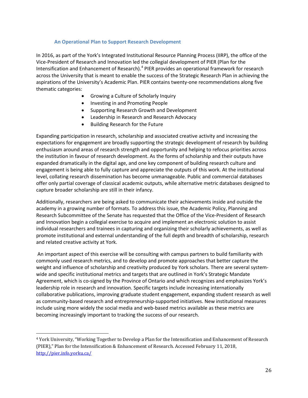#### <span id="page-25-0"></span>**An Operational Plan to Support Research Development**

In 2016, as part of the York's Integrated Institutional Resource Planning Process (IIRP), the office of the Vice-President of Research and Innovation led the collegial development of PIER (Plan for the Intensification and Enhancement of Research).[4](#page-25-1) PIER provides an operational framework for research across the University that is meant to enable the success of the Strategic Research Plan in achieving the aspirations of the University's Academic Plan. PIER contains twenty-one recommendations along five thematic categories:

- Growing a Culture of Scholarly Inquiry
- Investing in and Promoting People
- Supporting Research Growth and Development
- Leadership in Research and Research Advocacy
- Building Research for the Future

Expanding participation in research, scholarship and associated creative activity and increasing the expectations for engagement are broadly supporting the strategic development of research by building enthusiasm around areas of research strength and opportunity and helping to refocus priorities across the institution in favour of research development. As the forms of scholarship and their outputs have expanded dramatically in the digital age, and one key component of building research culture and engagement is being able to fully capture and appreciate the outputs of this work. At the institutional level, collating research dissemination has become unmanageable. Public and commercial databases offer only partial coverage of classical academic outputs, while alternative metric databases designed to capture broader scholarship are still in their infancy.

Additionally, researchers are being asked to communicate their achievements inside and outside the academy in a growing number of formats. To address this issue, the Academic Policy, Planning and Research Subcommittee of the Senate has requested that the Office of the Vice-President of Research and Innovation begin a collegial exercise to acquire and implement an electronic solution to assist individual researchers and trainees in capturing and organizing their scholarly achievements, as well as promote institutional and external understanding of the full depth and breadth of scholarship, research and related creative activity at York.

An important aspect of this exercise will be consulting with campus partners to build familiarity with commonly used research metrics, and to develop and promote approaches that better capture the weight and influence of scholarship and creativity produced by York scholars. There are several systemwide and specific institutional metrics and targets that are outlined in York's Strategic Mandate Agreement, which is co-signed by the Province of Ontario and which recognizes and emphasizes York's leadership role in research and innovation. Specific targets include increasing internationally collaborative publications, improving graduate student engagement, expanding student research as well as community-based research and entrepreneurship-supported initiatives. New institutional measures include using more widely the social media and web-based metrics available as these metrics are becoming increasingly important to tracking the success of our research.

<span id="page-25-1"></span> <sup>4</sup> York University, "Working Together to Develop a Plan for the Intensification and Enhancement of Research (PIER)," Plan for the Intensification & Enhancement of Research. Accessed February 11, 2018, <http://pier.info.yorku.ca/>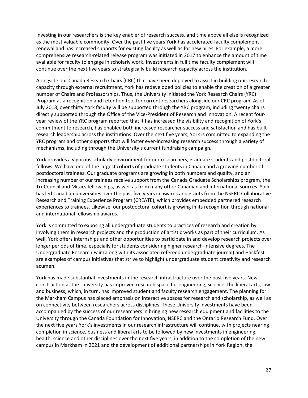Investing in our researchers is the key enabler of research success, and time above all else is recognized as the most valuable commodity. Over the past five years York has accelerated faculty complement renewal and has increased supports for existing faculty as well as for new hires. For example, a more comprehensive research-related release program was initiated in 2017 to enhance the amount of time available for faculty to engage in scholarly work. Investments in full time faculty complement will continue over the next five years to strategically build research capacity across the institution.

Alongside our Canada Research Chairs (CRC) that have been deployed to assist in building our research capacity through external recruitment, York has redeveloped policies to enable the creation of a greater number of Chairs and Professorships. Thus, the University initiated the York Research Chairs (YRC) Program as a recognition and retention tool for current researchers alongside our CRC program. As of July 2018, over thirty York faculty will be supported through the YRC program, including twenty chairs directly supported through the Office of the Vice-President of Research and Innovation. A recent fouryear review of the YRC program reported that it has increased the visibility and recognition of York's commitment to research, has enabled both increased researcher success and satisfaction and has built research leadership across the institutions. Over the next five years, York is committed to expanding the YRC program and other supports that will foster ever-increasing research success through a variety of mechanisms, including through the University's current fundraising campaign.

York provides a vigorous scholarly environment for our researchers, graduate students and postdoctoral fellows. We have one of the largest cohorts of graduate students in Canada and a growing number of postdoctoral trainees. Our graduate programs are growing in both numbers and quality, and an increasing number of our trainees receive support from the Canada Graduate Scholarships program, the Tri-Council and Mitacs fellowships, as well as from many other Canadian and international sources. York has led Canadian universities over the past five years in awards and grants from the NSERC Collaborative Research and Training Experience Program (CREATE), which provides embedded partnered research experiences to trainees. Likewise, our postdoctoral cohort is growing in its recognition through national and international fellowship awards.

York is committed to exposing all undergraduate students to practices of research and creation by involving them in research projects and the production of artistic works as part of their curriculum. As well, York offers internships and other opportunities to participate in and develop research projects over longer periods of time, especially for students considering higher research-intensive degrees. The Undergraduate Research Fair (along with its associated refereed undergraduate journal) and Hackfest are examples of campus initiatives that strive to highlight undergraduate student creativity and research acumen.

York has made substantial investments in the research infrastructure over the past five years. New construction at the University has improved research space for engineering, science, the liberal arts, law and business, which, in turn, has improved student and faculty research engagement. The planning for the Markham Campus has placed emphasis on interactive spaces for research and scholarship, as well as on connectivity between researchers across disciplines. These University investments have been accompanied by the success of our researchers in bringing new research equipment and facilities to the University through the Canada Foundation for Innovation, NSERC and the Ontario Research Fund. Over the next five years York's investments in our research infrastructure will continue, with projects nearing completion in science, business and liberal arts to be followed by new investments in engineering, health, science and other disciplines over the next five years, in addition to the completion of the new campus in Markham in 2021 and the development of additional partnerships in York Region. the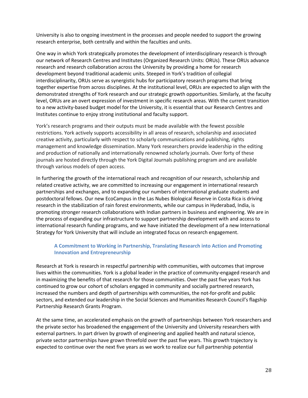University is also to ongoing investment in the processes and people needed to support the growing research enterprise, both centrally and within the faculties and units.

One way in which York strategically promotes the development of interdisciplinary research is through our network of Research Centres and Institutes (Organized Research Units: ORUs). These ORUs advance research and research collaboration across the University by providing a home for research development beyond traditional academic units. Steeped in York's tradition of collegial interdisciplinarity, ORUs serve as synergistic hubs for participatory research programs that bring together expertise from across disciplines. At the institutional level, ORUs are expected to align with the demonstrated strengths of York research and our strategic growth opportunities. Similarly, at the faculty level, ORUs are an overt expression of investment in specific research areas. With the current transition to a new activity-based budget model for the University, it is essential that our Research Centres and Institutes continue to enjoy strong institutional and faculty support.

York's research programs and their outputs must be made available with the fewest possible restrictions. York actively supports accessibility in all areas of research, scholarship and associated creative activity, particularly with respect to scholarly communications and publishing, rights management and knowledge dissemination. Many York researchers provide leadership in the editing and production of nationally and internationally renowned scholarly journals. Over forty of these journals are hosted directly through the York Digital Journals publishing program and are available through various models of open access.

In furthering the growth of the international reach and recognition of our research, scholarship and related creative activity, we are committed to increasing our engagement in international research partnerships and exchanges, and to expanding our numbers of international graduate students and postdoctoral fellows. Our new EcoCampus in the Las Nubes Biological Reserve in Costa Rica is driving research in the stabilization of rain forest environments, while our campus in Hyderabad, India, is promoting stronger research collaborations with Indian partners in business and engineering. We are in the process of expanding our infrastructure to support partnership development with and access to international research funding programs, and we have initiated the development of a new International Strategy for York University that will include an integrated focus on research engagement.

## <span id="page-27-0"></span>**A Commitment to Working in Partnership, Translating Research into Action and Promoting Innovation and Entrepreneurship**

Research at York is research in respectful partnership with communities, with outcomes that improve lives within the communities. York is a global leader in the practice of community-engaged research and in maximizing the benefits of that research for those communities. Over the past five years York has continued to grow our cohort of scholars engaged in community and socially partnered research, increased the numbers and depth of partnerships with communities, the not-for-profit and public sectors, and extended our leadership in the Social Sciences and Humanities Research Council's flagship Partnership Research Grants Program.

At the same time, an accelerated emphasis on the growth of partnerships between York researchers and the private sector has broadened the engagement of the University and University researchers with external partners. In part driven by growth of engineering and applied health and natural science, private sector partnerships have grown threefold over the past five years. This growth trajectory is expected to continue over the next five years as we work to realize our full partnership potential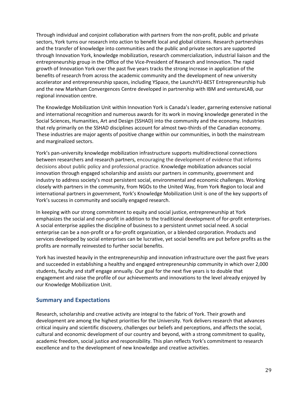Through individual and conjoint collaboration with partners from the non-profit, public and private sectors, York turns our research into action to benefit local and global citizens. Research partnerships and the transfer of knowledge into communities and the public and private sectors are supported through Innovation York, knowledge mobilization, research commercialization, industrial liaison and the entrepreneurship group in the Office of the Vice-President of Research and Innovation. The rapid growth of Innovation York over the past five years tracks the strong increase in application of the benefits of research from across the academic community and the development of new university accelerator and entrepreneurship spaces, including YSpace, the LaunchYU-BEST Entrepreneurship hub and the new Markham Convergences Centre developed in partnership with IBM and ventureLAB, our regional innovation centre.

The Knowledge Mobilization Unit within Innovation York is Canada's leader, garnering extensive national and international recognition and numerous awards for its work in moving knowledge generated in the Social Sciences, Humanities, Art and Design (SSHAD) into the community and the economy. Industries that rely primarily on the SSHAD disciplines account for almost two-thirds of the Canadian economy. These industries are major agents of positive change within our communities, in both the mainstream and marginalized sectors.

York's pan-university knowledge mobilization infrastructure supports multidirectional connections between researchers and research partners, encouraging the development of evidence that informs decisions about public policy and professional practice. Knowledge mobilization advances social innovation through engaged scholarship and assists our partners in community, government and industry to address society's most persistent social, environmental and economic challenges. Working closely with partners in the community, from NGOs to the United Way, from York Region to local and international partners in government, York's Knowledge Mobilization Unit is one of the key supports of York's success in community and socially engaged research.

In keeping with our strong commitment to equity and social justice, entrepreneurship at York emphasizes the social and non-profit in addition to the traditional development of for-profit enterprises. A social enterprise applies the discipline of business to a persistent unmet social need. A social enterprise can be a non-profit or a for-profit organization, or a blended corporation. Products and services developed by social enterprises can be lucrative, yet social benefits are put before profits as the profits are normally reinvested to further social benefits.

York has invested heavily in the entrepreneurship and innovation infrastructure over the past five years and succeeded in establishing a healthy and engaged entrepreneurship community in which over 2,000 students, faculty and staff engage annually. Our goal for the next five years is to double that engagement and raise the profile of our achievements and innovations to the level already enjoyed by our Knowledge Mobilization Unit.

## <span id="page-28-0"></span>**Summary and Expectations**

Research, scholarship and creative activity are integral to the fabric of York. Their growth and development are among the highest priorities for the University. York delivers research that advances critical inquiry and scientific discovery, challenges our beliefs and perceptions, and affects the social, cultural and economic development of our country and beyond, with a strong commitment to quality, academic freedom, social justice and responsibility. This plan reflects York's commitment to research excellence and to the development of new knowledge and creative activities.